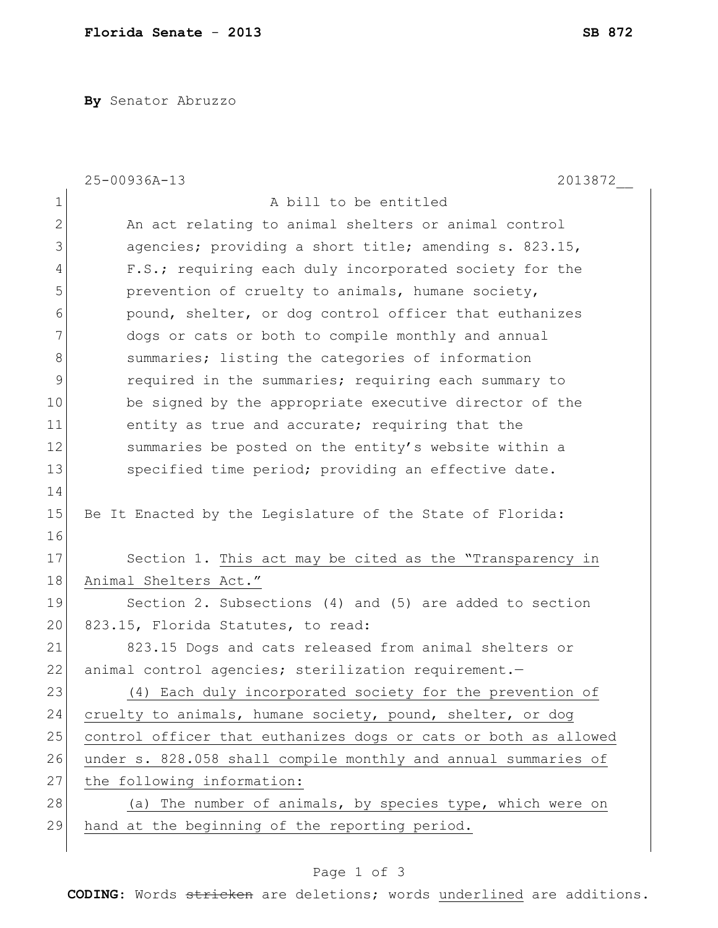**By** Senator Abruzzo

|              | 25-00936A-13<br>2013872                                         |
|--------------|-----------------------------------------------------------------|
| $\mathbf 1$  | A bill to be entitled                                           |
| $\mathbf{2}$ | An act relating to animal shelters or animal control            |
| 3            | agencies; providing a short title; amending s. 823.15,          |
| 4            | F.S.; requiring each duly incorporated society for the          |
| 5            | prevention of cruelty to animals, humane society,               |
| 6            | pound, shelter, or dog control officer that euthanizes          |
| 7            | dogs or cats or both to compile monthly and annual              |
| 8            | summaries; listing the categories of information                |
| 9            | required in the summaries; requiring each summary to            |
| 10           | be signed by the appropriate executive director of the          |
| 11           | entity as true and accurate; requiring that the                 |
| 12           | summaries be posted on the entity's website within a            |
| 13           | specified time period; providing an effective date.             |
| 14           |                                                                 |
| 15           | Be It Enacted by the Legislature of the State of Florida:       |
| 16           |                                                                 |
| 17           | Section 1. This act may be cited as the "Transparency in        |
| 18           | Animal Shelters Act."                                           |
| 19           | Section 2. Subsections (4) and (5) are added to section         |
| 20           | 823.15, Florida Statutes, to read:                              |
| 21           | 823.15 Dogs and cats released from animal shelters or           |
| 22           | animal control agencies; sterilization requirement.-            |
| 23           | (4) Each duly incorporated society for the prevention of        |
| 24           | cruelty to animals, humane society, pound, shelter, or dog      |
| 25           | control officer that euthanizes dogs or cats or both as allowed |
| 26           | under s. 828.058 shall compile monthly and annual summaries of  |
| 27           | the following information:                                      |
| 28           | (a) The number of animals, by species type, which were on       |
| 29           | hand at the beginning of the reporting period.                  |
|              |                                                                 |

## Page 1 of 3

**CODING**: Words stricken are deletions; words underlined are additions.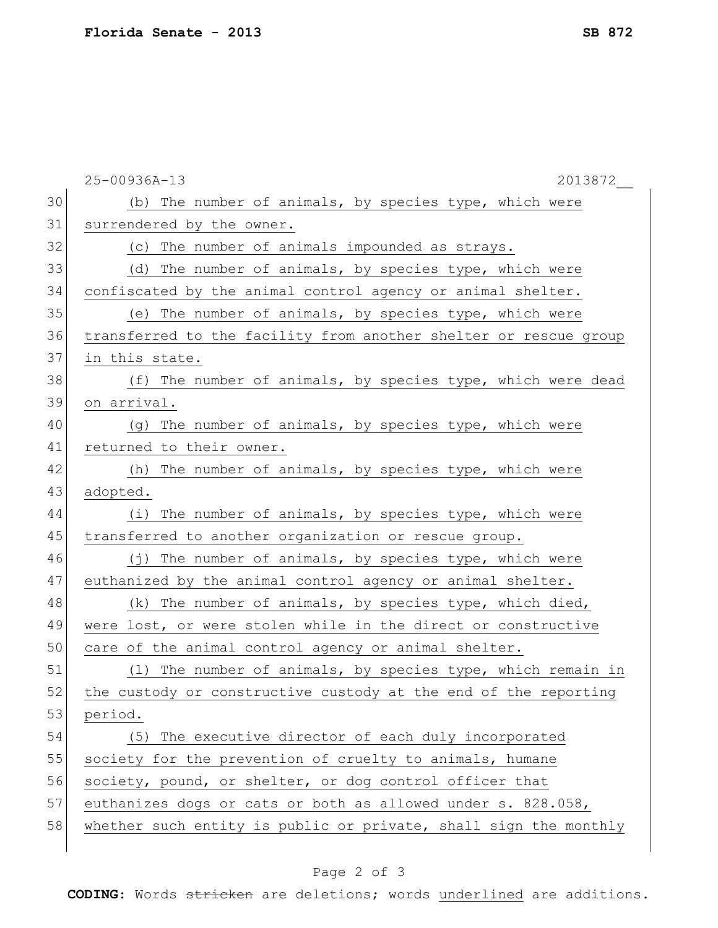|    | 25-00936A-13<br>2013872                                          |
|----|------------------------------------------------------------------|
| 30 | (b) The number of animals, by species type, which were           |
| 31 | surrendered by the owner.                                        |
| 32 | (c) The number of animals impounded as strays.                   |
| 33 | (d) The number of animals, by species type, which were           |
| 34 | confiscated by the animal control agency or animal shelter.      |
| 35 | (e) The number of animals, by species type, which were           |
| 36 | transferred to the facility from another shelter or rescue group |
| 37 | in this state.                                                   |
| 38 | (f) The number of animals, by species type, which were dead      |
| 39 | on arrival.                                                      |
| 40 | (g) The number of animals, by species type, which were           |
| 41 | returned to their owner.                                         |
| 42 | (h) The number of animals, by species type, which were           |
| 43 | adopted.                                                         |
| 44 | (i) The number of animals, by species type, which were           |
| 45 | transferred to another organization or rescue group.             |
| 46 | The number of animals, by species type, which were<br>( i )      |
| 47 | euthanized by the animal control agency or animal shelter.       |
| 48 | (k) The number of animals, by species type, which died,          |
| 49 | were lost, or were stolen while in the direct or constructive    |
| 50 | care of the animal control agency or animal shelter.             |
| 51 | (1) The number of animals, by species type, which remain in      |
| 52 | the custody or constructive custody at the end of the reporting  |
| 53 | period.                                                          |
| 54 | (5) The executive director of each duly incorporated             |
| 55 | society for the prevention of cruelty to animals, humane         |
| 56 | society, pound, or shelter, or dog control officer that          |
| 57 | euthanizes dogs or cats or both as allowed under s. 828.058,     |
| 58 | whether such entity is public or private, shall sign the monthly |
|    |                                                                  |

Page 2 of 3

**CODING**: Words stricken are deletions; words underlined are additions.